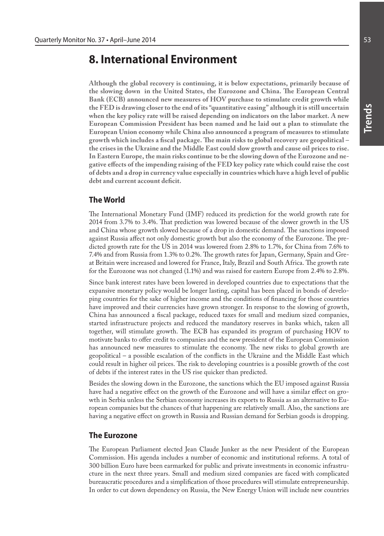# **8. International Environment**

**Although the global recovery is continuing, it is below expectations, primarily because of the slowing down in the United States, the Eurozone and China. The European Central Bank (ECB) announced new measures of HOV purchase to stimulate credit growth while the FED is drawing closer to the end of its "quantitative easing" although it is still uncertain when the key policy rate will be raised depending on indicators on the labor market. A new European Commission President has been named and he laid out a plan to stimulate the European Union economy while China also announced a program of measures to stimulate growth which includes a fiscal package. The main risks to global recovery are geopolitical – the crises in the Ukraine and the Middle East could slow growth and cause oil prices to rise. In Eastern Europe, the main risks continue to be the slowing down of the Eurozone and negative effects of the impending raising of the FED key policy rate which could raise the cost of debts and a drop in currency value especially in countries which have a high level of public debt and current account deficit.**

# **The World**

The International Monetary Fund (IMF) reduced its prediction for the world growth rate for 2014 from 3.7% to 3.4%. That prediction was lowered because of the slower growth in the US and China whose growth slowed because of a drop in domestic demand. The sanctions imposed against Russia affect not only domestic growth but also the economy of the Eurozone. The predicted growth rate for the US in 2014 was lowered from 2.8% to 1.7%, for China from 7.6% to 7.4% and from Russia from 1.3% to 0.2%. The growth rates for Japan, Germany, Spain and Great Britain were increased and lowered for France, Italy, Brazil and South Africa. The growth rate for the Eurozone was not changed (1.1%) and was raised for eastern Europe from 2.4% to 2.8%.

Since bank interest rates have been lowered in developed countries due to expectations that the expansive monetary policy would be longer lasting, capital has been placed in bonds of developing countries for the sake of higher income and the conditions of financing for those countries have improved and their currencies have grown stronger. In response to the slowing of growth, China has announced a fiscal package, reduced taxes for small and medium sized companies, started infrastructure projects and reduced the mandatory reserves in banks which, taken all together, will stimulate growth. The ECB has expanded its program of purchasing HOV to motivate banks to offer credit to companies and the new president of the European Commission has announced new measures to stimulate the economy. The new risks to global growth are geopolitical – a possible escalation of the conflicts in the Ukraine and the Middle East which could result in higher oil prices. The risk to developing countries is a possible growth of the cost of debts if the interest rates in the US rise quicker than predicted.

Besides the slowing down in the Eurozone, the sanctions which the EU imposed against Russia have had a negative effect on the growth of the Eurozone and will have a similar effect on growth in Serbia unless the Serbian economy increases its exports to Russia as an alternative to European companies but the chances of that happening are relatively small. Also, the sanctions are having a negative effect on growth in Russia and Russian demand for Serbian goods is dropping.

#### **The Eurozone**

The European Parliament elected Jean Claude Junker as the new President of the European Commission. His agenda includes a number of economic and institutional reforms. A total of 300 billion Euro have been earmarked for public and private investments in economic infrastructure in the next three years. Small and medium sized companies are faced with complicated bureaucratic procedures and a simplification of those procedures will stimulate entrepreneurship. In order to cut down dependency on Russia, the New Energy Union will include new countries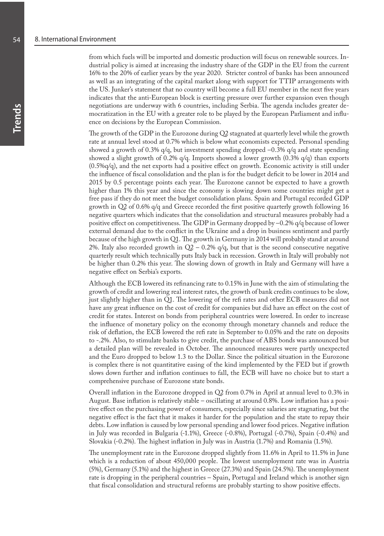from which fuels will be imported and domestic production will focus on renewable sources. Industrial policy is aimed at increasing the industry share of the GDP in the EU from the current 16% to the 20% of earlier years by the year 2020. Stricter control of banks has been announced as well as an integrating of the capital market along with support for TTIP arrangements with the US. Junker's statement that no country will become a full EU member in the next five years indicates that the anti-European block is exerting pressure over further expansion even though negotiations are underway with 6 countries, including Serbia. The agenda includes greater democratization in the EU with a greater role to be played by the European Parliament and influence on decisions by the European Commission.

The growth of the GDP in the Eurozone during Q2 stagnated at quarterly level while the growth rate at annual level stood at 0.7% which is below what economists expected. Personal spending showed a growth of 0.3%  $q/q$ , but investment spending dropped  $-0.3\%$   $q/q$  and state spending showed a slight growth of 0.2% q/q. Imports showed a lower growth (0.3% q/q) than exports (0.5%q/q), and the net exports had a positive effect on growth. Economic activity is still under the influence of fiscal consolidation and the plan is for the budget deficit to be lower in 2014 and 2015 by 0.5 percentage points each year. The Eurozone cannot be expected to have a growth higher than 1% this year and since the economy is slowing down some countries might get a free pass if they do not meet the budget consolidation plans. Spain and Portugal recorded GDP growth in Q2 of 0.6% q/q and Greece recorded the first positive quarterly growth following 16 negative quarters which indicates that the consolidation and structural measures probably had a positive effect on competitiveness. The GDP in Germany dropped by –0.2% q/q because of lower external demand due to the conflict in the Ukraine and a drop in business sentiment and partly because of the high growth in Q1. The growth in Germany in 2014 will probably stand at around 2%. Italy also recorded growth in  $Q2 - 0.2\%$  q/q, but that is the second consecutive negative quarterly result which technically puts Italy back in recession. Growth in Italy will probably not be higher than 0.2% this year. The slowing down of growth in Italy and Germany will have a negative effect on Serbia's exports.

Although the ECB lowered its refinancing rate to 0.15% in June with the aim of stimulating the growth of credit and lowering real interest rates, the growth of bank credits continues to be slow, just slightly higher than in Q1. The lowering of the refi rates and other ECB measures did not have any great influence on the cost of credit for companies but did have an effect on the cost of credit for states. Interest on bonds from peripheral countries were lowered. In order to increase the influence of monetary policy on the economy through monetary channels and reduce the risk of deflation, the ECB lowered the refi rate in September to 0.05% and the rate on deposits to -.2%. Also, to stimulate banks to give credit, the purchase of ABS bonds was announced but a detailed plan will be revealed in October. The announced measures were partly unexpected and the Euro dropped to below 1.3 to the Dollar. Since the political situation in the Eurozone is complex there is not quantitative easing of the kind implemented by the FED but if growth slows down further and inflation continues to fall, the ECB will have no choice but to start a comprehensive purchase of Eurozone state bonds.

Overall inflation in the Eurozone dropped in Q2 from 0.7% in April at annual level to 0.3% in August. Base inflation is relatively stable – oscillating at around 0.8%. Low inflation has a positive effect on the purchasing power of consumers, especially since salaries are stagnating, but the negative effect is the fact that it makes it harder for the population and the state to repay their debts. Low inflation is caused by low personal spending and lower food prices. Negative inflation in July was recorded in Bulgaria (-1.1%), Greece (-0.8%), Portugal (-0.7%), Spain (-0.4%) and Slovakia (-0.2%). The highest inflation in July was in Austria (1.7%) and Romania (1.5%).

The unemployment rate in the Eurozone dropped slightly from 11.6% in April to 11.5% in June which is a reduction of about 450,000 people. The lowest unemployment rate was in Austria (5%), Germany (5.1%) and the highest in Greece (27.3%) and Spain (24.5%). The unemployment rate is dropping in the peripheral countries – Spain, Portugal and Ireland which is another sign that fiscal consolidation and structural reforms are probably starting to show positive effects.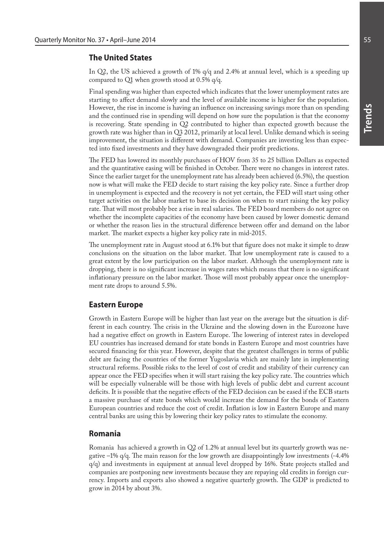## **The United States**

In Q2, the US achieved a growth of 1% q/q and 2.4% at annual level, which is a speeding up compared to Q1 when growth stood at 0.5% q/q.

Final spending was higher than expected which indicates that the lower unemployment rates are starting to affect demand slowly and the level of available income is higher for the population. However, the rise in income is having an influence on increasing savings more than on spending and the continued rise in spending will depend on how sure the population is that the economy is recovering. State spending in Q2 contributed to higher than expected growth because the growth rate was higher than in Q3 2012, primarily at local level. Unlike demand which is seeing improvement, the situation is different with demand. Companies are investing less than expected into fixed investments and they have downgraded their profit predictions.

The FED has lowered its monthly purchases of HOV from 35 to 25 billion Dollars as expected and the quantitative easing will be finished in October. There were no changes in interest rates. Since the earlier target for the unemployment rate has already been achieved (6.5%), the question now is what will make the FED decide to start raising the key policy rate. Since a further drop in unemployment is expected and the recovery is not yet certain, the FED will start using other target activities on the labor market to base its decision on when to start raising the key policy rate. That will most probably bee a rise in real salaries. The FED board members do not agree on whether the incomplete capacities of the economy have been caused by lower domestic demand or whether the reason lies in the structural difference between offer and demand on the labor market. The market expects a higher key policy rate in mid-2015.

The unemployment rate in August stood at 6.1% but that figure does not make it simple to draw conclusions on the situation on the labor market. That low unemployment rate is caused to a great extent by the low participation on the labor market. Although the unemployment rate is dropping, there is no significant increase in wages rates which means that there is no significant inflationary pressure on the labor market. Those will most probably appear once the unemployment rate drops to around 5.5%.

#### **Eastern Europe**

Growth in Eastern Europe will be higher than last year on the average but the situation is different in each country. The crisis in the Ukraine and the slowing down in the Eurozone have had a negative effect on growth in Eastern Europe. The lowering of interest rates in developed EU countries has increased demand for state bonds in Eastern Europe and most countries have secured financing for this year. However, despite that the greatest challenges in terms of public debt are facing the countries of the former Yugoslavia which are mainly late in implementing structural reforms. Possible risks to the level of cost of credit and stability of their currency can appear once the FED specifies when it will start raising the key policy rate. The countries which will be especially vulnerable will be those with high levels of public debt and current account deficits. It is possible that the negative effects of the FED decision can be eased if the ECB starts a massive purchase of state bonds which would increase the demand for the bonds of Eastern European countries and reduce the cost of credit. Inflation is low in Eastern Europe and many central banks are using this by lowering their key policy rates to stimulate the economy.

#### **Romania**

Romania has achieved a growth in Q2 of 1.2% at annual level but its quarterly growth was negative –1% q/q. The main reason for the low growth are disappointingly low investments (-4.4% q/q) and investments in equipment at annual level dropped by 16%. State projects stalled and companies are postponing new investments because they are repaying old credits in foreign currency. Imports and exports also showed a negative quarterly growth. The GDP is predicted to grow in 2014 by about 3%.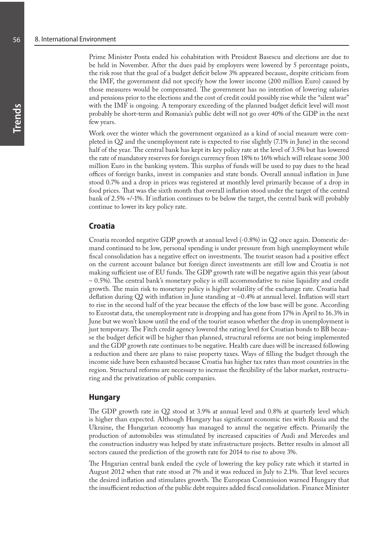Prime Minister Ponta ended his cohabitation with President Basescu and elections are due to be held in November. After the dues paid by employers were lowered by 5 percentage points, the risk rose that the goal of a budget deficit below 3% appeared because, despite criticism from the IMF, the government did not specify how the lower income (200 million Euro) caused by those measures would be compensated. The government has no intention of lowering salaries and pensions prior to the elections and the cost of credit could possibly rise while the "silent war" with the IMF is ongoing. A temporary exceeding of the planned budget deficit level will most probably be short-term and Romania's public debt will not go over 40% of the GDP in the next few years.

Work over the winter which the government organized as a kind of social measure were completed in Q2 and the unemployment rate is expected to rise slightly (7.1% in June) in the second half of the year. The central bank has kept its key policy rate at the level of 3.5% but has lowered the rate of mandatory reserves for foreign currency from 18% to 16% which will release some 300 million Euro in the banking system. This surplus of funds will be used to pay dues to the head offices of foreign banks, invest in companies and state bonds. Overall annual inflation in June stood 0.7% and a drop in prices was registered at monthly level primarily because of a drop in food prices. That was the sixth month that overall inflation stood under the target of the central bank of 2.5% +/-1%. If inflation continues to be below the target, the central bank will probably continue to lower its key policy rate.

## **Croatia**

Croatia recorded negative GDP growth at annual level (-0.8%) in Q2 once again. Domestic demand continued to be low, personal spending is under pressure from high unemployment while fiscal consolidation has a negative effect on investments. The tourist season had a positive effect on the current account balance but foreign direct investments are still low and Croatia is not making sufficient use of EU funds. The GDP growth rate will be negative again this year (about – 0.5%). The central bank's monetary policy is still accommodative to raise liquidity and credit growth. The main risk to monetary policy is higher volatility of the exchange rate. Croatia had deflation during Q2 with inflation in June standing at –0.4% at annual level. Inflation will start to rise in the second half of the year because the effects of the low base will be gone. According to Eurostat data, the unemployment rate is dropping and has gone from 17% in April to 16.3% in June but we won't know until the end of the tourist season whether the drop in unemployment is just temporary. The Fitch credit agency lowered the rating level for Croatian bonds to BB because the budget deficit will be higher than planned, structural reforms are not being implemented and the GDP growth rate continues to be negative. Health care dues will be increased following a reduction and there are plans to raise property taxes. Ways of filling the budget through the income side have been exhausted because Croatia has higher tax rates than most countries in the region. Structural reforms are necessary to increase the flexibility of the labor market, restructuring and the privatization of public companies.

#### **Hungary**

The GDP growth rate in Q2 stood at 3.9% at annual level and 0.8% at quarterly level which is higher than expected. Although Hungary has significant economic ties with Russia and the Ukraine, the Hungarian economy has managed to annul the negative effects. Primarily the production of automobiles was stimulated by increased capacities of Audi and Mercedes and the construction industry was helped by state infrastructure projects. Better results in almost all sectors caused the prediction of the growth rate for 2014 to rise to above 3%.

The Hngarian central bank ended the cycle of lowering the key policy rate which it started in August 2012 when that rate stood at 7% and it was reduced in July to 2.1%. That level secures the desired inflation and stimulates growth. The European Commission warned Hungary that the insufficient reduction of the public debt requires added fiscal consolidation. Finance Minister